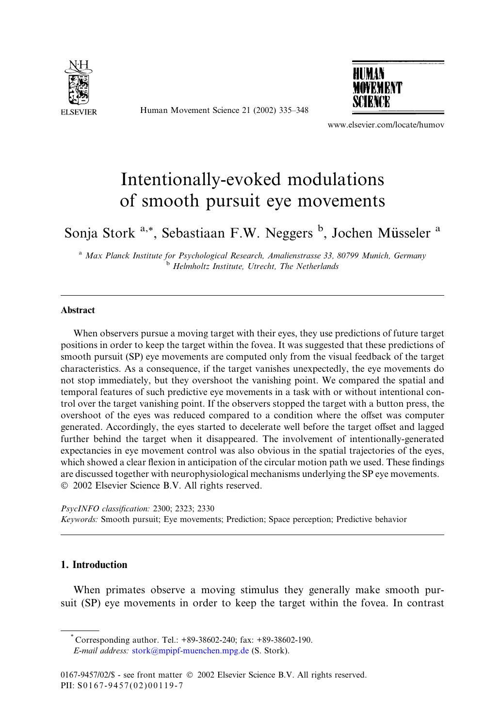

Human Movement Science 21 (2002) 335–348



www.elsevier.com/locate/humov

# Intentionally-evoked modulations of smooth pursuit eye movements

Sonja Stork<sup>a,\*</sup>, Sebastiaan F.W. Neggers <sup>b</sup>, Jochen Müsseler<sup>a</sup>

<sup>a</sup> Max Planck Institute for Psychological Research, Amalienstrasse 33, 80799 Munich, Germany b Helmholtz Institute, Utrecht, The Netherlands

#### Abstract

When observers pursue a moving target with their eyes, they use predictions of future target positions in order to keep the target within the fovea. It was suggested that these predictions of smooth pursuit (SP) eye movements are computed only from the visual feedback of the target characteristics. As a consequence, if the target vanishes unexpectedly, the eye movements do not stop immediately, but they overshoot the vanishing point. We compared the spatial and temporal features of such predictive eye movements in a task with or without intentional control over the target vanishing point. If the observers stopped the target with a button press, the overshoot of the eyes was reduced compared to a condition where the offset was computer generated. Accordingly, the eyes started to decelerate well before the target offset and lagged further behind the target when it disappeared. The involvement of intentionally-generated expectancies in eye movement control was also obvious in the spatial trajectories of the eyes, which showed a clear flexion in anticipation of the circular motion path we used. These findings are discussed together with neurophysiological mechanisms underlying the SP eye movements. 2002 Elsevier Science B.V. All rights reserved.

PsycINFO classification: 2300; 2323; 2330 Keywords: Smooth pursuit; Eye movements; Prediction; Space perception; Predictive behavior

# 1. Introduction

When primates observe a moving stimulus they generally make smooth pursuit (SP) eye movements in order to keep the target within the fovea. In contrast

 $^*$  Corresponding author. Tel.:  $+89-38602-240$ ; fax:  $+89-38602-190$ .

E-mail address: [stork@mpipf-muenchen.mpg.de](mail to: stork@mpipf-muenchen.mpg.de) (S. Stork).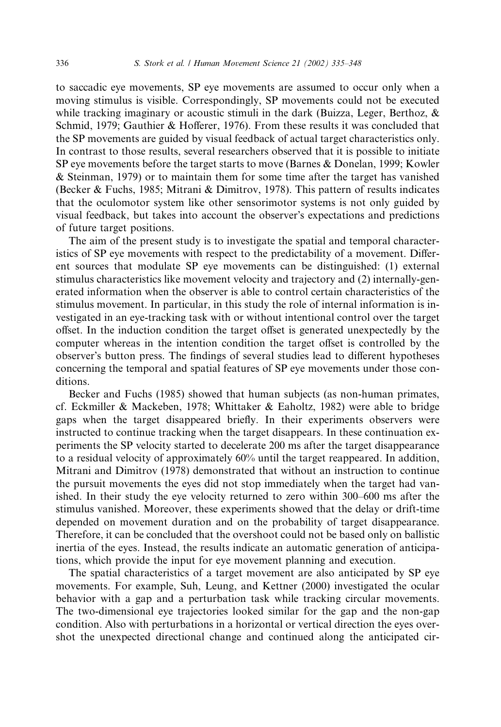to saccadic eye movements, SP eye movements are assumed to occur only when a moving stimulus is visible. Correspondingly, SP movements could not be executed while tracking imaginary or acoustic stimuli in the dark (Buizza, Leger, Berthoz,  $\&$ Schmid, 1979; Gauthier & Hofferer, 1976). From these results it was concluded that the SP movements are guided by visual feedback of actual target characteristics only. In contrast to those results, several researchers observed that it is possible to initiate SP eye movements before the target starts to move (Barnes & Donelan, 1999; Kowler & Steinman, 1979) or to maintain them for some time after the target has vanished (Becker & Fuchs, 1985; Mitrani & Dimitrov, 1978). This pattern of results indicates that the oculomotor system like other sensorimotor systems is not only guided by visual feedback, but takes into account the observer's expectations and predictions of future target positions.

The aim of the present study is to investigate the spatial and temporal characteristics of SP eye movements with respect to the predictability of a movement. Different sources that modulate SP eye movements can be distinguished: (1) external stimulus characteristics like movement velocity and trajectory and (2) internally-generated information when the observer is able to control certain characteristics of the stimulus movement. In particular, in this study the role of internal information is investigated in an eye-tracking task with or without intentional control over the target offset. In the induction condition the target offset is generated unexpectedly by the computer whereas in the intention condition the target offset is controlled by the observer's button press. The findings of several studies lead to different hypotheses concerning the temporal and spatial features of SP eye movements under those conditions.

Becker and Fuchs (1985) showed that human subjects (as non-human primates, cf. Eckmiller & Mackeben, 1978; Whittaker & Eaholtz, 1982) were able to bridge gaps when the target disappeared briefly. In their experiments observers were instructed to continue tracking when the target disappears. In these continuation experiments the SP velocity started to decelerate 200 ms after the target disappearance to a residual velocity of approximately 60% until the target reappeared. In addition, Mitrani and Dimitrov (1978) demonstrated that without an instruction to continue the pursuit movements the eyes did not stop immediately when the target had vanished. In their study the eye velocity returned to zero within 300–600 ms after the stimulus vanished. Moreover, these experiments showed that the delay or drift-time depended on movement duration and on the probability of target disappearance. Therefore, it can be concluded that the overshoot could not be based only on ballistic inertia of the eyes. Instead, the results indicate an automatic generation of anticipations, which provide the input for eye movement planning and execution.

The spatial characteristics of a target movement are also anticipated by SP eye movements. For example, Suh, Leung, and Kettner (2000) investigated the ocular behavior with a gap and a perturbation task while tracking circular movements. The two-dimensional eye trajectories looked similar for the gap and the non-gap condition. Also with perturbations in a horizontal or vertical direction the eyes overshot the unexpected directional change and continued along the anticipated cir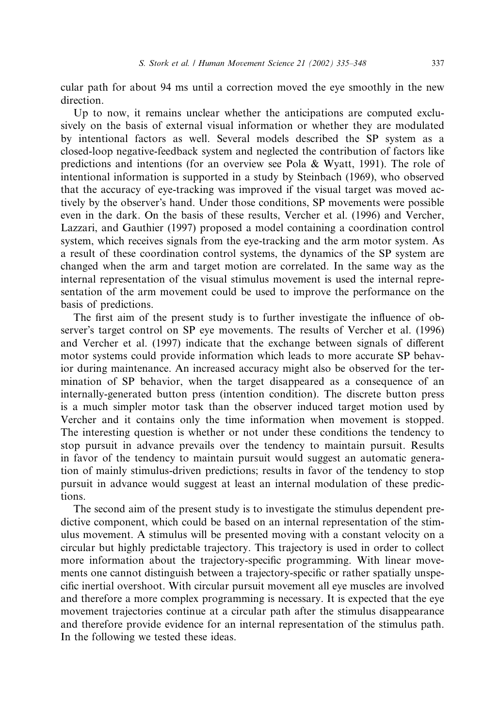cular path for about 94 ms until a correction moved the eye smoothly in the new direction.

Up to now, it remains unclear whether the anticipations are computed exclusively on the basis of external visual information or whether they are modulated by intentional factors as well. Several models described the SP system as a closed-loop negative-feedback system and neglected the contribution of factors like predictions and intentions (for an overview see Pola & Wyatt, 1991). The role of intentional information is supported in a study by Steinbach (1969), who observed that the accuracy of eye-tracking was improved if the visual target was moved actively by the observer's hand. Under those conditions, SP movements were possible even in the dark. On the basis of these results, Vercher et al. (1996) and Vercher, Lazzari, and Gauthier (1997) proposed a model containing a coordination control system, which receives signals from the eye-tracking and the arm motor system. As a result of these coordination control systems, the dynamics of the SP system are changed when the arm and target motion are correlated. In the same way as the internal representation of the visual stimulus movement is used the internal representation of the arm movement could be used to improve the performance on the basis of predictions.

The first aim of the present study is to further investigate the influence of observer's target control on SP eye movements. The results of Vercher et al. (1996) and Vercher et al. (1997) indicate that the exchange between signals of different motor systems could provide information which leads to more accurate SP behavior during maintenance. An increased accuracy might also be observed for the termination of SP behavior, when the target disappeared as a consequence of an internally-generated button press (intention condition). The discrete button press is a much simpler motor task than the observer induced target motion used by Vercher and it contains only the time information when movement is stopped. The interesting question is whether or not under these conditions the tendency to stop pursuit in advance prevails over the tendency to maintain pursuit. Results in favor of the tendency to maintain pursuit would suggest an automatic generation of mainly stimulus-driven predictions; results in favor of the tendency to stop pursuit in advance would suggest at least an internal modulation of these predictions.

The second aim of the present study is to investigate the stimulus dependent predictive component, which could be based on an internal representation of the stimulus movement. A stimulus will be presented moving with a constant velocity on a circular but highly predictable trajectory. This trajectory is used in order to collect more information about the trajectory-specific programming. With linear movements one cannot distinguish between a trajectory-specific or rather spatially unspecific inertial overshoot. With circular pursuit movement all eye muscles are involved and therefore a more complex programming is necessary. It is expected that the eye movement trajectories continue at a circular path after the stimulus disappearance and therefore provide evidence for an internal representation of the stimulus path. In the following we tested these ideas.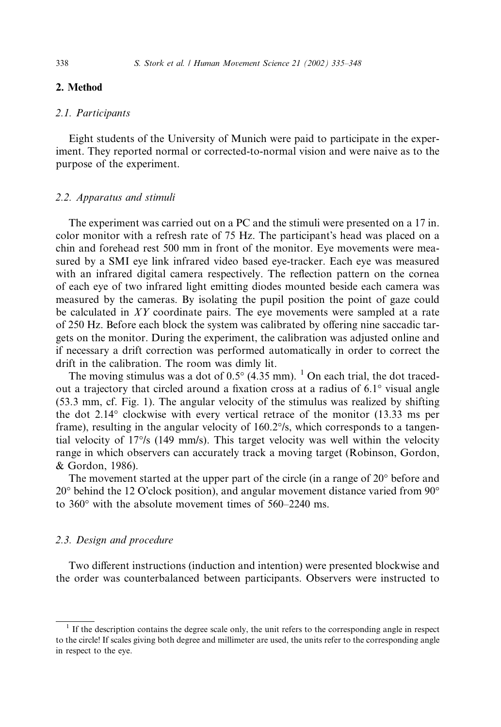# 2. Method

#### 2.1. Participants

Eight students of the University of Munich were paid to participate in the experiment. They reported normal or corrected-to-normal vision and were naive as to the purpose of the experiment.

#### 2.2. Apparatus and stimuli

The experiment was carried out on a PC and the stimuli were presented on a 17 in. color monitor with a refresh rate of 75 Hz. The participant's head was placed on a chin and forehead rest 500 mm in front of the monitor. Eye movements were measured by a SMI eye link infrared video based eye-tracker. Each eye was measured with an infrared digital camera respectively. The reflection pattern on the cornea of each eye of two infrared light emitting diodes mounted beside each camera was measured by the cameras. By isolating the pupil position the point of gaze could be calculated in XY coordinate pairs. The eye movements were sampled at a rate of 250 Hz. Before each block the system was calibrated by offering nine saccadic targets on the monitor. During the experiment, the calibration was adjusted online and if necessary a drift correction was performed automatically in order to correct the drift in the calibration. The room was dimly lit.

The moving stimulus was a dot of  $0.5^{\circ}$  (4.35 mm). <sup>1</sup> On each trial, the dot tracedout a trajectory that circled around a fixation cross at a radius of  $6.1^{\circ}$  visual angle (53.3 mm, cf. Fig. 1). The angular velocity of the stimulus was realized by shifting the dot  $2.14^{\circ}$  clockwise with every vertical retrace of the monitor (13.33 ms per frame), resulting in the angular velocity of 160.2°/s, which corresponds to a tangential velocity of 17°/s (149 mm/s). This target velocity was well within the velocity range in which observers can accurately track a moving target (Robinson, Gordon, & Gordon, 1986).

The movement started at the upper part of the circle (in a range of  $20^{\circ}$  before and 20 $\degree$  behind the 12 O'clock position), and angular movement distance varied from 90 $\degree$ to 360° with the absolute movement times of 560–2240 ms.

## 2.3. Design and procedure

Two different instructions (induction and intention) were presented blockwise and the order was counterbalanced between participants. Observers were instructed to

 $1$  If the description contains the degree scale only, the unit refers to the corresponding angle in respect to the circle! If scales giving both degree and millimeter are used, the units refer to the corresponding angle in respect to the eye.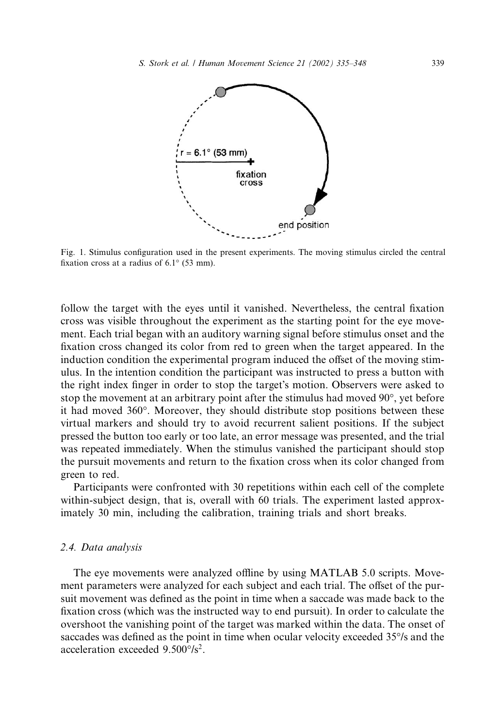

Fig. 1. Stimulus configuration used in the present experiments. The moving stimulus circled the central fixation cross at a radius of  $6.1^{\circ}$  (53 mm).

follow the target with the eyes until it vanished. Nevertheless, the central fixation cross was visible throughout the experiment as the starting point for the eye movement. Each trial began with an auditory warning signal before stimulus onset and the fixation cross changed its color from red to green when the target appeared. In the induction condition the experimental program induced the offset of the moving stimulus. In the intention condition the participant was instructed to press a button with the right index finger in order to stop the target's motion. Observers were asked to stop the movement at an arbitrary point after the stimulus had moved  $90^{\circ}$ , yet before it had moved 360°. Moreover, they should distribute stop positions between these virtual markers and should try to avoid recurrent salient positions. If the subject pressed the button too early or too late, an error message was presented, and the trial was repeated immediately. When the stimulus vanished the participant should stop the pursuit movements and return to the fixation cross when its color changed from green to red.

Participants were confronted with 30 repetitions within each cell of the complete within-subject design, that is, overall with 60 trials. The experiment lasted approximately 30 min, including the calibration, training trials and short breaks.

#### 2.4. Data analysis

The eye movements were analyzed offline by using MATLAB 5.0 scripts. Movement parameters were analyzed for each subject and each trial. The offset of the pursuit movement was defined as the point in time when a saccade was made back to the fixation cross (which was the instructed way to end pursuit). In order to calculate the overshoot the vanishing point of the target was marked within the data. The onset of saccades was defined as the point in time when ocular velocity exceeded 35°/s and the acceleration exceeded  $9.500\%$ <sup>2</sup>.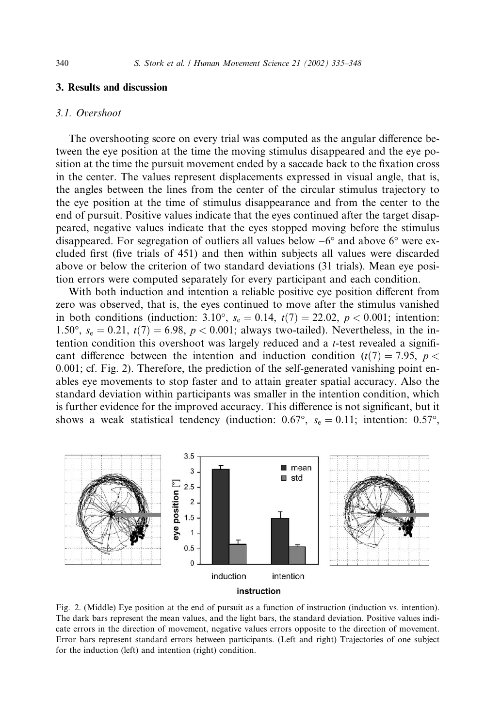# 3. Results and discussion

## 3.1. Overshoot

The overshooting score on every trial was computed as the angular difference between the eye position at the time the moving stimulus disappeared and the eye position at the time the pursuit movement ended by a saccade back to the fixation cross in the center. The values represent displacements expressed in visual angle, that is, the angles between the lines from the center of the circular stimulus trajectory to the eye position at the time of stimulus disappearance and from the center to the end of pursuit. Positive values indicate that the eyes continued after the target disappeared, negative values indicate that the eyes stopped moving before the stimulus disappeared. For segregation of outliers all values below  $-6^{\circ}$  and above  $6^{\circ}$  were excluded first (five trials of 451) and then within subjects all values were discarded above or below the criterion of two standard deviations (31 trials). Mean eye position errors were computed separately for every participant and each condition.

With both induction and intention a reliable positive eye position different from zero was observed, that is, the eyes continued to move after the stimulus vanished in both conditions (induction: 3.10°,  $s_e = 0.14$ ,  $t(7) = 22.02$ ,  $p < 0.001$ ; intention: 1.50°,  $s_e = 0.21$ ,  $t(7) = 6.98$ ,  $p < 0.001$ ; always two-tailed). Nevertheless, in the intention condition this overshoot was largely reduced and a t-test revealed a significant difference between the intention and induction condition ( $t(7) = 7.95$ ,  $p <$ 0:001; cf. Fig. 2). Therefore, the prediction of the self-generated vanishing point enables eye movements to stop faster and to attain greater spatial accuracy. Also the standard deviation within participants was smaller in the intention condition, which is further evidence for the improved accuracy. This difference is not significant, but it shows a weak statistical tendency (induction:  $0.67^{\circ}$ ,  $s_e = 0.11$ ; intention:  $0.57^{\circ}$ ,



Fig. 2. (Middle) Eye position at the end of pursuit as a function of instruction (induction vs. intention). The dark bars represent the mean values, and the light bars, the standard deviation. Positive values indicate errors in the direction of movement, negative values errors opposite to the direction of movement. Error bars represent standard errors between participants. (Left and right) Trajectories of one subject for the induction (left) and intention (right) condition.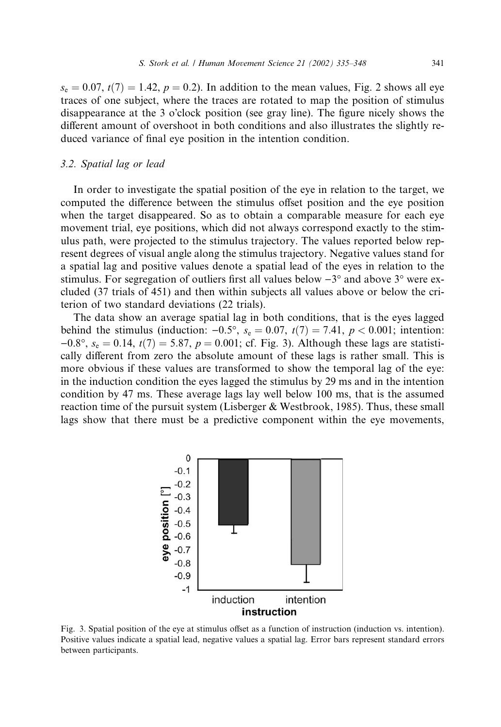$s_e = 0.07$ ,  $t(7) = 1.42$ ,  $p = 0.2$ ). In addition to the mean values, Fig. 2 shows all eye traces of one subject, where the traces are rotated to map the position of stimulus disappearance at the 3 o'clock position (see gray line). The figure nicely shows the different amount of overshoot in both conditions and also illustrates the slightly reduced variance of final eye position in the intention condition.

### 3.2. Spatial lag or lead

In order to investigate the spatial position of the eye in relation to the target, we computed the difference between the stimulus offset position and the eye position when the target disappeared. So as to obtain a comparable measure for each eye movement trial, eye positions, which did not always correspond exactly to the stimulus path, were projected to the stimulus trajectory. The values reported below represent degrees of visual angle along the stimulus trajectory. Negative values stand for a spatial lag and positive values denote a spatial lead of the eyes in relation to the stimulus. For segregation of outliers first all values below  $-3^{\circ}$  and above 3 $^{\circ}$  were excluded (37 trials of 451) and then within subjects all values above or below the criterion of two standard deviations (22 trials).

The data show an average spatial lag in both conditions, that is the eyes lagged behind the stimulus (induction:  $-0.5^{\circ}$ ,  $s_e = 0.07$ ,  $t(7) = 7.41$ ,  $p < 0.001$ ; intention:  $-0.8^{\circ}$ ,  $s_e = 0.14$ ,  $t(7) = 5.87$ ,  $p = 0.001$ ; cf. Fig. 3). Although these lags are statistically different from zero the absolute amount of these lags is rather small. This is more obvious if these values are transformed to show the temporal lag of the eye: in the induction condition the eyes lagged the stimulus by 29 ms and in the intention condition by 47 ms. These average lags lay well below 100 ms, that is the assumed reaction time of the pursuit system (Lisberger & Westbrook, 1985). Thus, these small lags show that there must be a predictive component within the eye movements,



Fig. 3. Spatial position of the eye at stimulus offset as a function of instruction (induction vs. intention). Positive values indicate a spatial lead, negative values a spatial lag. Error bars represent standard errors between participants.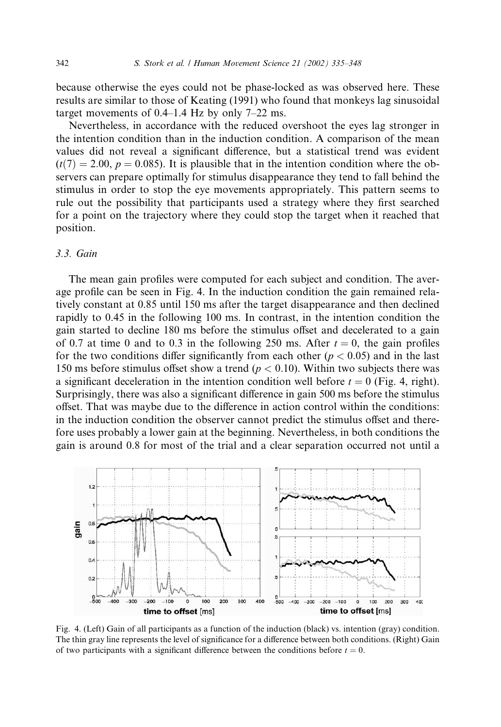because otherwise the eyes could not be phase-locked as was observed here. These results are similar to those of Keating (1991) who found that monkeys lag sinusoidal target movements of 0.4–1.4 Hz by only 7–22 ms.

Nevertheless, in accordance with the reduced overshoot the eyes lag stronger in the intention condition than in the induction condition. A comparison of the mean values did not reveal a significant difference, but a statistical trend was evident  $(t(7) = 2.00, p = 0.085)$ . It is plausible that in the intention condition where the observers can prepare optimally for stimulus disappearance they tend to fall behind the stimulus in order to stop the eye movements appropriately. This pattern seems to rule out the possibility that participants used a strategy where they first searched for a point on the trajectory where they could stop the target when it reached that position.

## 3.3. Gain

The mean gain profiles were computed for each subject and condition. The average profile can be seen in Fig. 4. In the induction condition the gain remained relatively constant at 0.85 until 150 ms after the target disappearance and then declined rapidly to 0.45 in the following 100 ms. In contrast, in the intention condition the gain started to decline 180 ms before the stimulus offset and decelerated to a gain of 0.7 at time 0 and to 0.3 in the following 250 ms. After  $t = 0$ , the gain profiles for the two conditions differ significantly from each other ( $p < 0.05$ ) and in the last 150 ms before stimulus offset show a trend ( $p < 0.10$ ). Within two subjects there was a significant deceleration in the intention condition well before  $t = 0$  (Fig. 4, right). Surprisingly, there was also a significant difference in gain 500 ms before the stimulus offset. That was maybe due to the difference in action control within the conditions: in the induction condition the observer cannot predict the stimulus offset and therefore uses probably a lower gain at the beginning. Nevertheless, in both conditions the gain is around 0.8 for most of the trial and a clear separation occurred not until a



Fig. 4. (Left) Gain of all participants as a function of the induction (black) vs. intention (gray) condition. The thin gray line represents the level of significance for a difference between both conditions. (Right) Gain of two participants with a significant difference between the conditions before  $t = 0$ .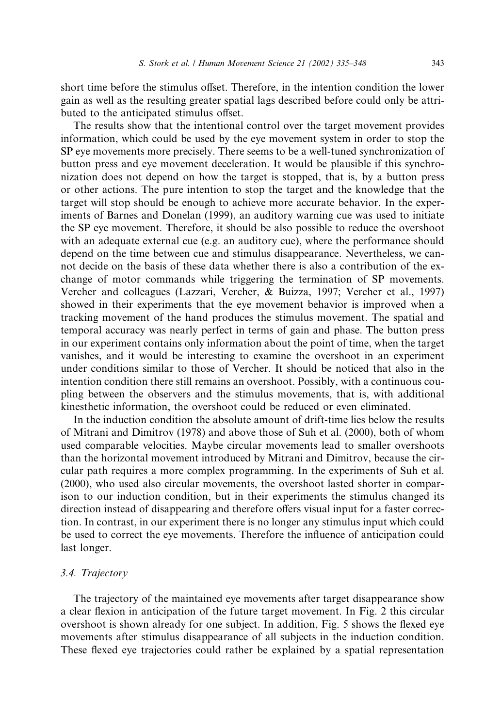short time before the stimulus offset. Therefore, in the intention condition the lower gain as well as the resulting greater spatial lags described before could only be attributed to the anticipated stimulus offset.

The results show that the intentional control over the target movement provides information, which could be used by the eye movement system in order to stop the SP eye movements more precisely. There seems to be a well-tuned synchronization of button press and eye movement deceleration. It would be plausible if this synchronization does not depend on how the target is stopped, that is, by a button press or other actions. The pure intention to stop the target and the knowledge that the target will stop should be enough to achieve more accurate behavior. In the experiments of Barnes and Donelan (1999), an auditory warning cue was used to initiate the SP eye movement. Therefore, it should be also possible to reduce the overshoot with an adequate external cue (e.g. an auditory cue), where the performance should depend on the time between cue and stimulus disappearance. Nevertheless, we cannot decide on the basis of these data whether there is also a contribution of the exchange of motor commands while triggering the termination of SP movements. Vercher and colleagues (Lazzari, Vercher, & Buizza, 1997; Vercher et al., 1997) showed in their experiments that the eye movement behavior is improved when a tracking movement of the hand produces the stimulus movement. The spatial and temporal accuracy was nearly perfect in terms of gain and phase. The button press in our experiment contains only information about the point of time, when the target vanishes, and it would be interesting to examine the overshoot in an experiment under conditions similar to those of Vercher. It should be noticed that also in the intention condition there still remains an overshoot. Possibly, with a continuous coupling between the observers and the stimulus movements, that is, with additional kinesthetic information, the overshoot could be reduced or even eliminated.

In the induction condition the absolute amount of drift-time lies below the results of Mitrani and Dimitrov (1978) and above those of Suh et al. (2000), both of whom used comparable velocities. Maybe circular movements lead to smaller overshoots than the horizontal movement introduced by Mitrani and Dimitrov, because the circular path requires a more complex programming. In the experiments of Suh et al. (2000), who used also circular movements, the overshoot lasted shorter in comparison to our induction condition, but in their experiments the stimulus changed its direction instead of disappearing and therefore offers visual input for a faster correction. In contrast, in our experiment there is no longer any stimulus input which could be used to correct the eye movements. Therefore the influence of anticipation could last longer.

## 3.4. Trajectory

The trajectory of the maintained eye movements after target disappearance show a clear flexion in anticipation of the future target movement. In Fig. 2 this circular overshoot is shown already for one subject. In addition, Fig. 5 shows the flexed eye movements after stimulus disappearance of all subjects in the induction condition. These flexed eye trajectories could rather be explained by a spatial representation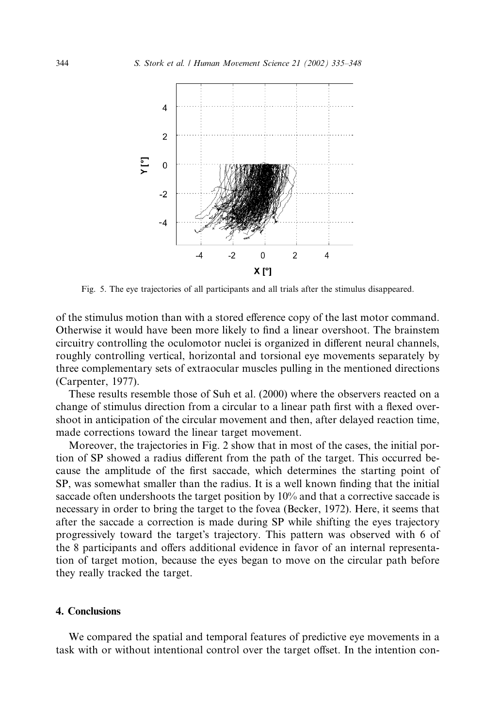

Fig. 5. The eye trajectories of all participants and all trials after the stimulus disappeared.

of the stimulus motion than with a stored efference copy of the last motor command. Otherwise it would have been more likely to find a linear overshoot. The brainstem circuitry controlling the oculomotor nuclei is organized in different neural channels, roughly controlling vertical, horizontal and torsional eye movements separately by three complementary sets of extraocular muscles pulling in the mentioned directions (Carpenter, 1977).

These results resemble those of Suh et al. (2000) where the observers reacted on a change of stimulus direction from a circular to a linear path first with a flexed overshoot in anticipation of the circular movement and then, after delayed reaction time, made corrections toward the linear target movement.

Moreover, the trajectories in Fig. 2 show that in most of the cases, the initial portion of SP showed a radius different from the path of the target. This occurred because the amplitude of the first saccade, which determines the starting point of SP, was somewhat smaller than the radius. It is a well known finding that the initial saccade often undershoots the target position by 10% and that a corrective saccade is necessary in order to bring the target to the fovea (Becker, 1972). Here, it seems that after the saccade a correction is made during SP while shifting the eyes trajectory progressively toward the target's trajectory. This pattern was observed with 6 of the 8 participants and offers additional evidence in favor of an internal representation of target motion, because the eyes began to move on the circular path before they really tracked the target.

# 4. Conclusions

We compared the spatial and temporal features of predictive eye movements in a task with or without intentional control over the target offset. In the intention con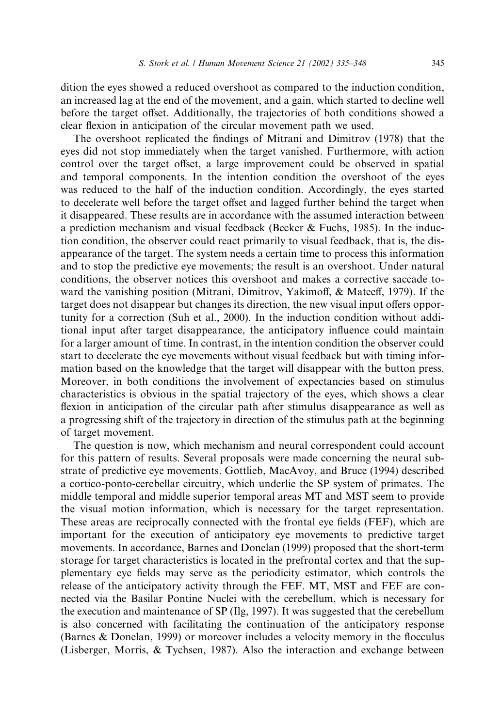dition the eyes showed a reduced overshoot as compared to the induction condition, an increased lag at the end of the movement, and a gain, which started to decline well before the target offset. Additionally, the trajectories of both conditions showed a clear flexion in anticipation of the circular movement path we used.

The overshoot replicated the findings of Mitrani and Dimitrov (1978) that the eyes did not stop immediately when the target vanished. Furthermore, with action control over the target offset, a large improvement could be observed in spatial and temporal components. In the intention condition the overshoot of the eyes was reduced to the half of the induction condition. Accordingly, the eyes started to decelerate well before the target offset and lagged further behind the target when it disappeared. These results are in accordance with the assumed interaction between a prediction mechanism and visual feedback (Becker  $\&$  Fuchs, 1985). In the induction condition, the observer could react primarily to visual feedback, that is, the disappearance of the target. The system needs a certain time to process this information and to stop the predictive eye movements; the result is an overshoot. Under natural conditions, the observer notices this overshoot and makes a corrective saccade toward the vanishing position (Mitrani, Dimitrov, Yakimoff, & Mateeff, 1979). If the target does not disappear but changes its direction, the new visual input offers opportunity for a correction (Suh et al., 2000). In the induction condition without additional input after target disappearance, the anticipatory influence could maintain for a larger amount of time. In contrast, in the intention condition the observer could start to decelerate the eye movements without visual feedback but with timing information based on the knowledge that the target will disappear with the button press. Moreover, in both conditions the involvement of expectancies based on stimulus characteristics is obvious in the spatial trajectory of the eyes, which shows a clear flexion in anticipation of the circular path after stimulus disappearance as well as a progressing shift of the trajectory in direction of the stimulus path at the beginning of target movement.

The question is now, which mechanism and neural correspondent could account for this pattern of results. Several proposals were made concerning the neural substrate of predictive eye movements. Gottlieb, MacAvoy, and Bruce (1994) described a cortico-ponto-cerebellar circuitry, which underlie the SP system of primates. The middle temporal and middle superior temporal areas MT and MST seem to provide the visual motion information, which is necessary for the target representation. These areas are reciprocally connected with the frontal eye fields (FEF), which are important for the execution of anticipatory eye movements to predictive target movements. In accordance, Barnes and Donelan (1999) proposed that the short-term storage for target characteristics is located in the prefrontal cortex and that the supplementary eye fields may serve as the periodicity estimator, which controls the release of the anticipatory activity through the FEF. MT, MST and FEF are connected via the Basilar Pontine Nuclei with the cerebellum, which is necessary for the execution and maintenance of SP (Ilg, 1997). It was suggested that the cerebellum is also concerned with facilitating the continuation of the anticipatory response (Barnes & Donelan, 1999) or moreover includes a velocity memory in the flocculus (Lisberger, Morris, & Tychsen, 1987). Also the interaction and exchange between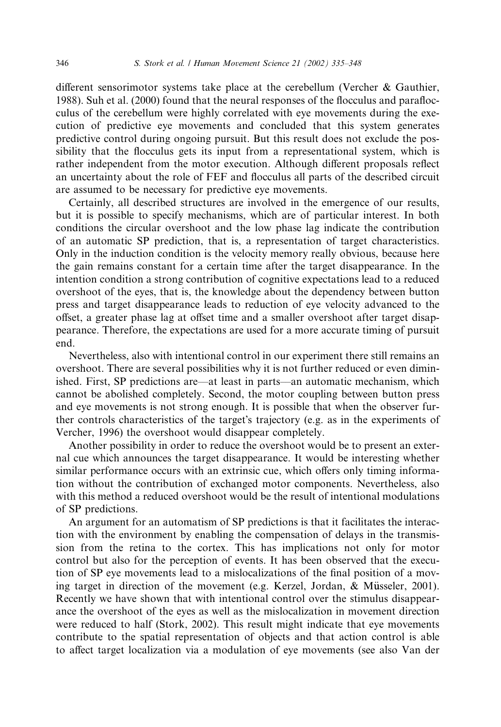different sensorimotor systems take place at the cerebellum (Vercher & Gauthier, 1988). Suh et al. (2000) found that the neural responses of the flocculus and paraflocculus of the cerebellum were highly correlated with eye movements during the execution of predictive eye movements and concluded that this system generates predictive control during ongoing pursuit. But this result does not exclude the possibility that the flocculus gets its input from a representational system, which is rather independent from the motor execution. Although different proposals reflect an uncertainty about the role of FEF and flocculus all parts of the described circuit are assumed to be necessary for predictive eye movements.

Certainly, all described structures are involved in the emergence of our results, but it is possible to specify mechanisms, which are of particular interest. In both conditions the circular overshoot and the low phase lag indicate the contribution of an automatic SP prediction, that is, a representation of target characteristics. Only in the induction condition is the velocity memory really obvious, because here the gain remains constant for a certain time after the target disappearance. In the intention condition a strong contribution of cognitive expectations lead to a reduced overshoot of the eyes, that is, the knowledge about the dependency between button press and target disappearance leads to reduction of eye velocity advanced to the offset, a greater phase lag at offset time and a smaller overshoot after target disappearance. Therefore, the expectations are used for a more accurate timing of pursuit end.

Nevertheless, also with intentional control in our experiment there still remains an overshoot. There are several possibilities why it is not further reduced or even diminished. First, SP predictions are––at least in parts––an automatic mechanism, which cannot be abolished completely. Second, the motor coupling between button press and eye movements is not strong enough. It is possible that when the observer further controls characteristics of the target's trajectory (e.g. as in the experiments of Vercher, 1996) the overshoot would disappear completely.

Another possibility in order to reduce the overshoot would be to present an external cue which announces the target disappearance. It would be interesting whether similar performance occurs with an extrinsic cue, which offers only timing information without the contribution of exchanged motor components. Nevertheless, also with this method a reduced overshoot would be the result of intentional modulations of SP predictions.

An argument for an automatism of SP predictions is that it facilitates the interaction with the environment by enabling the compensation of delays in the transmission from the retina to the cortex. This has implications not only for motor control but also for the perception of events. It has been observed that the execution of SP eye movements lead to a mislocalizations of the final position of a moving target in direction of the movement (e.g. Kerzel, Jordan,  $\&$  Müsseler, 2001). Recently we have shown that with intentional control over the stimulus disappearance the overshoot of the eyes as well as the mislocalization in movement direction were reduced to half (Stork, 2002). This result might indicate that eye movements contribute to the spatial representation of objects and that action control is able to affect target localization via a modulation of eye movements (see also Van der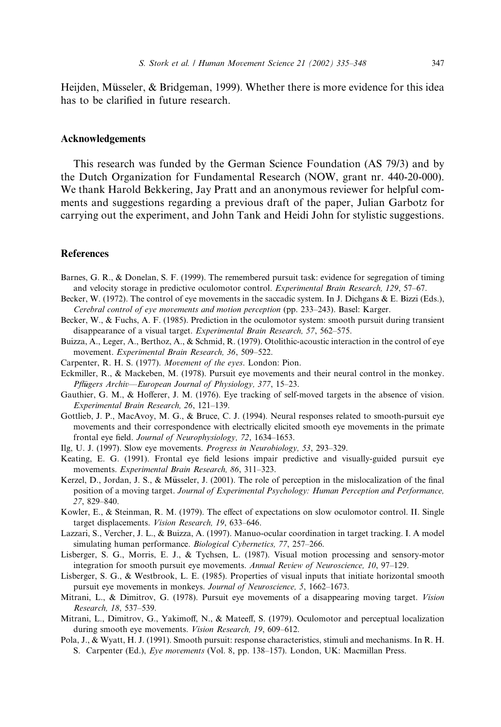Heijden, Müsseler,  $&$  Bridgeman, 1999). Whether there is more evidence for this idea has to be clarified in future research.

# Acknowledgements

This research was funded by the German Science Foundation (AS 79/3) and by the Dutch Organization for Fundamental Research (NOW, grant nr. 440-20-000). We thank Harold Bekkering, Jay Pratt and an anonymous reviewer for helpful comments and suggestions regarding a previous draft of the paper, Julian Garbotz for carrying out the experiment, and John Tank and Heidi John for stylistic suggestions.

# References

- Barnes, G. R., & Donelan, S. F. (1999). The remembered pursuit task: evidence for segregation of timing and velocity storage in predictive oculomotor control. Experimental Brain Research, 129, 57-67.
- Becker, W. (1972). The control of eye movements in the saccadic system. In J. Dichgans & E. Bizzi (Eds.), Cerebral control of eye movements and motion perception (pp. 233–243). Basel: Karger.
- Becker, W., & Fuchs, A. F. (1985). Prediction in the oculomotor system: smooth pursuit during transient disappearance of a visual target. Experimental Brain Research, 57, 562–575.
- Buizza, A., Leger, A., Berthoz, A., & Schmid, R. (1979). Otolithic-acoustic interaction in the control of eye movement. Experimental Brain Research, 36, 509–522.
- Carpenter, R. H. S. (1977). Movement of the eyes. London: Pion.
- Eckmiller, R., & Mackeben, M. (1978). Pursuit eye movements and their neural control in the monkey. Pflügers Archiv-European Journal of Physiology, 377, 15-23.
- Gauthier, G. M., & Hofferer, J. M. (1976). Eye tracking of self-moved targets in the absence of vision. Experimental Brain Research, 26, 121–139.
- Gottlieb, J. P., MacAvoy, M. G., & Bruce, C. J. (1994). Neural responses related to smooth-pursuit eye movements and their correspondence with electrically elicited smooth eye movements in the primate frontal eye field. Journal of Neurophysiology, 72, 1634-1653.
- Ilg, U. J. (1997). Slow eye movements. Progress in Neurobiology, 53, 293–329.
- Keating, E. G. (1991). Frontal eye field lesions impair predictive and visually-guided pursuit eye movements. Experimental Brain Research, 86, 311–323.
- Kerzel, D., Jordan, J. S., & Müsseler, J. (2001). The role of perception in the mislocalization of the final position of a moving target. Journal of Experimental Psychology: Human Perception and Performance, 27, 829–840.
- Kowler, E., & Steinman, R. M. (1979). The effect of expectations on slow oculomotor control. II. Single target displacements. Vision Research, 19, 633–646.
- Lazzari, S., Vercher, J. L., & Buizza, A. (1997). Manuo-ocular coordination in target tracking. I. A model simulating human performance. Biological Cybernetics, 77, 257-266.
- Lisberger, S. G., Morris, E. J., & Tychsen, L. (1987). Visual motion processing and sensory-motor integration for smooth pursuit eye movements. Annual Review of Neuroscience, 10, 97–129.
- Lisberger, S. G., & Westbrook, L. E. (1985). Properties of visual inputs that initiate horizontal smooth pursuit eye movements in monkeys. Journal of Neuroscience, 5, 1662-1673.
- Mitrani, L., & Dimitrov, G. (1978). Pursuit eye movements of a disappearing moving target. Vision Research, 18, 537–539.
- Mitrani, L., Dimitrov, G., Yakimoff, N., & Mateeff, S. (1979). Oculomotor and perceptual localization during smooth eye movements. Vision Research, 19, 609-612.
- Pola, J., & Wyatt, H. J. (1991). Smooth pursuit: response characteristics, stimuli and mechanisms. In R. H. S. Carpenter (Ed.), Eye movements (Vol. 8, pp. 138–157). London, UK: Macmillan Press.